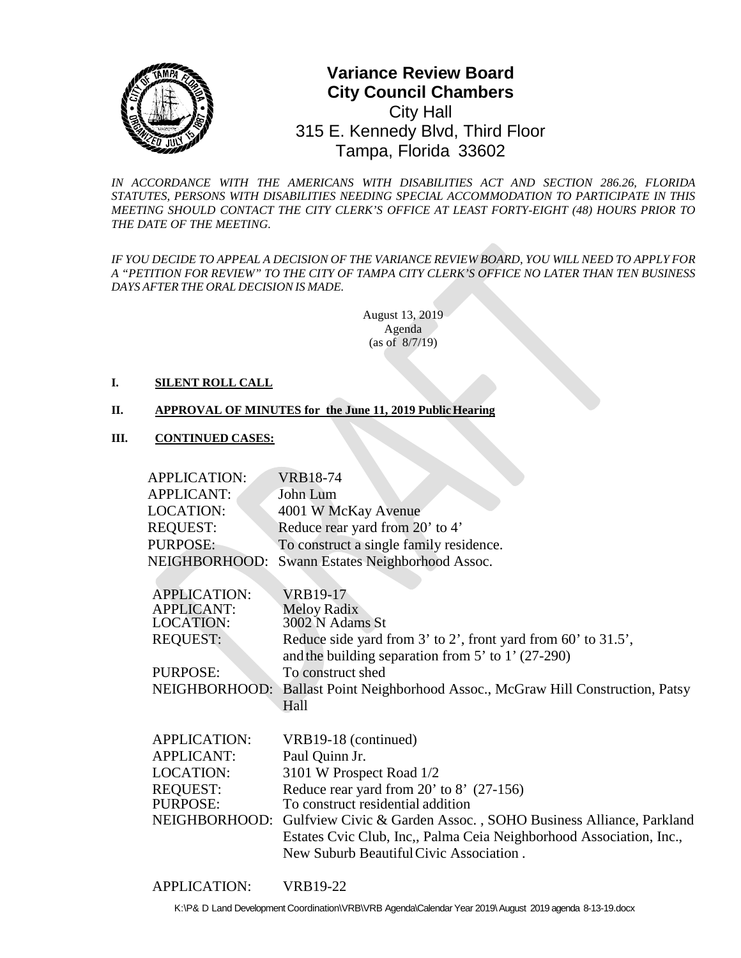

# **0** Tampa, Florida 33602**Variance Review Board City Council Chambers**  City Hall 315 E. Kennedy Blvd, Third Floor

*IN ACCORDANCE WITH THE AMERICANS WITH DISABILITIES ACT AND SECTION 286.26, FLORIDA STATUTES, PERSONS WITH DISABILITIES NEEDING SPECIAL ACCOMMODATION TO PARTICIPATE IN THIS MEETING SHOULD CONTACT THE CITY CLERK'S OFFICE AT LEAST FORTY-EIGHT (48) HOURS PRIOR TO THE DATE OF THE MEETING.*

*IF YOU DECIDE TO APPEAL A DECISION OF THE VARIANCE REVIEW BOARD, YOU WILL NEED TO APPLY FOR A "PETITION FOR REVIEW" TO THE CITY OF TAMPA CITY CLERK'S OFFICE NO LATER THAN TEN BUSINESS DAYS AFTER THE ORAL DECISIONIS MADE.*

> August 13, 2019 Agenda (as of 8/7/19)

### **I. SILENT ROLL CALL**

### **II. APPROVAL OF MINUTES for the June 11, 2019 Public Hearing**

### **III. CONTINUED CASES:**

| <b>APPLICATION:</b> | <b>VRB18-74</b>                                                                |
|---------------------|--------------------------------------------------------------------------------|
| <b>APPLICANT:</b>   | John Lum                                                                       |
| LOCATION:           | 4001 W McKay Avenue                                                            |
| <b>REQUEST:</b>     | Reduce rear yard from 20' to 4'                                                |
| <b>PURPOSE:</b>     | To construct a single family residence.                                        |
| NEIGHBORHOOD:       | Swann Estates Neighborhood Assoc.                                              |
|                     |                                                                                |
| <b>APPLICATION:</b> | <b>VRB19-17</b>                                                                |
| <b>APPLICANT:</b>   | <b>Meloy Radix</b>                                                             |
| <b>LOCATION:</b>    | 3002 N Adams St                                                                |
| <b>REQUEST:</b>     | Reduce side yard from $3'$ to $2'$ , front yard from $60'$ to $31.5'$ ,        |
|                     | and the building separation from $5'$ to $1'$ (27-290)                         |
| PURPOSE:            | To construct shed                                                              |
| NEIGHBORHOOD:       | Ballast Point Neighborhood Assoc., McGraw Hill Construction, Patsy             |
|                     | Hall                                                                           |
|                     |                                                                                |
| <b>APPLICATION:</b> | VRB19-18 (continued)                                                           |
| <b>APPLICANT:</b>   | Paul Quinn Jr.                                                                 |
| <b>LOCATION:</b>    | 3101 W Prospect Road 1/2                                                       |
| <b>REQUEST:</b>     | Reduce rear yard from $20'$ to $8'$ (27-156)                                   |
| PURPOSE:            | To construct residential addition                                              |
|                     | NEIGHBORHOOD: Gulfview Civic & Garden Assoc., SOHO Business Alliance, Parkland |
|                     | Estates Cvic Club, Inc., Palma Ceia Neighborhood Association, Inc.,            |
|                     | New Suburb Beautiful Civic Association.                                        |
|                     |                                                                                |

APPLICATION: VRB19-22

K:\P& D Land Development Coordination\VRB\VRB Agenda\Calendar Year 2019\August 2019 agenda 8-13-19.docx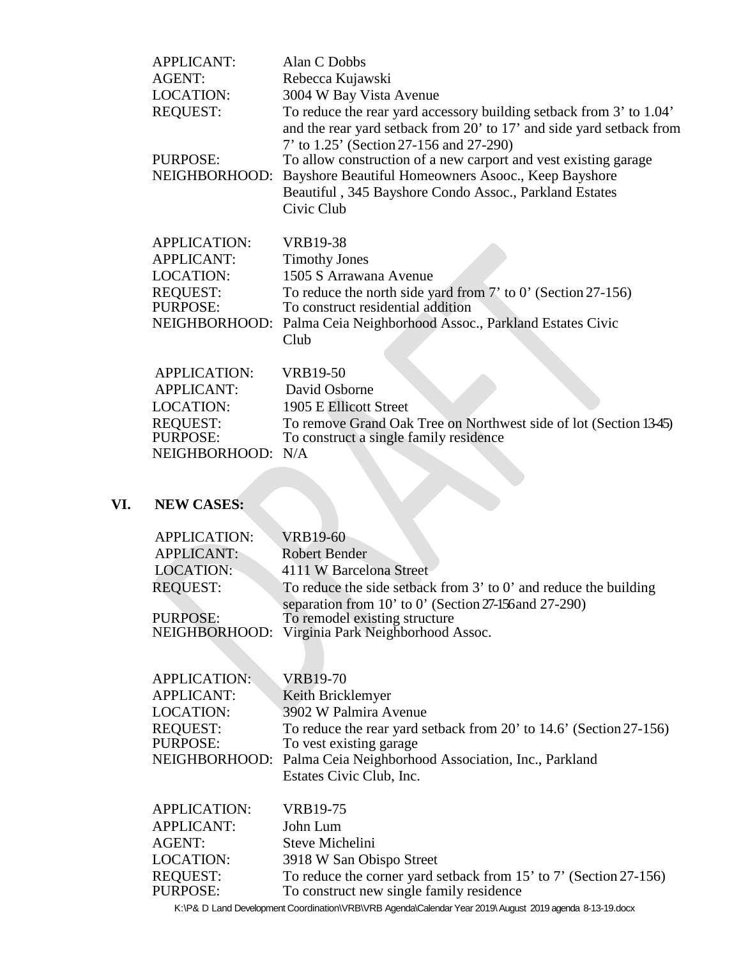| <b>APPLICANT:</b>         | Alan C Dobbs                                                                                                                                                                                                                                                                                                      |
|---------------------------|-------------------------------------------------------------------------------------------------------------------------------------------------------------------------------------------------------------------------------------------------------------------------------------------------------------------|
| <b>AGENT:</b>             | Rebecca Kujawski                                                                                                                                                                                                                                                                                                  |
| <b>LOCATION:</b>          | 3004 W Bay Vista Avenue                                                                                                                                                                                                                                                                                           |
| <b>REQUEST:</b>           | To reduce the rear yard accessory building setback from 3' to 1.04'                                                                                                                                                                                                                                               |
| PURPOSE:<br>NEIGHBORHOOD: | and the rear yard setback from 20' to 17' and side yard setback from<br>7' to 1.25' (Section 27-156 and 27-290)<br>To allow construction of a new carport and vest existing garage<br>Bayshore Beautiful Homeowners Asooc., Keep Bayshore<br>Beautiful, 345 Bayshore Condo Assoc., Parkland Estates<br>Civic Club |
| <b>APPLICATION:</b>       | <b>VRB19-38</b>                                                                                                                                                                                                                                                                                                   |
| <b>APPLICANT:</b>         | <b>Timothy Jones</b>                                                                                                                                                                                                                                                                                              |
| <b>LOCATION:</b>          | 1505 S Arrawana Avenue                                                                                                                                                                                                                                                                                            |
| <b>REQUEST:</b>           | To reduce the north side yard from $7'$ to $0'$ (Section 27-156)                                                                                                                                                                                                                                                  |
| PURPOSE:                  | To construct residential addition                                                                                                                                                                                                                                                                                 |
| NEIGHBORHOOD:             | Palma Ceia Neighborhood Assoc., Parkland Estates Civic                                                                                                                                                                                                                                                            |
|                           | Club                                                                                                                                                                                                                                                                                                              |
| <b>APPLICATION:</b>       | <b>VRB19-50</b>                                                                                                                                                                                                                                                                                                   |
| <b>APPLICANT:</b>         | David Osborne                                                                                                                                                                                                                                                                                                     |
| <b>LOCATION:</b>          | 1905 E Ellicott Street                                                                                                                                                                                                                                                                                            |
| <b>REQUEST:</b>           | To remove Grand Oak Tree on Northwest side of lot (Section 1345)                                                                                                                                                                                                                                                  |
| PURPOSE:                  | To construct a single family residence                                                                                                                                                                                                                                                                            |
| NEIGHBORHOOD:             | N/A                                                                                                                                                                                                                                                                                                               |
|                           |                                                                                                                                                                                                                                                                                                                   |

# **VI. NEW CASES:**

| <b>APPLICATION:</b> | <b>VRB19-60</b>                                                      |
|---------------------|----------------------------------------------------------------------|
| <b>APPLICANT:</b>   | <b>Robert Bender</b>                                                 |
| LOCATION:           | 4111 W Barcelona Street                                              |
| <b>REQUEST:</b>     | To reduce the side setback from $3'$ to $0'$ and reduce the building |
|                     | separation from 10' to 0' (Section 27-156 and 27-290)                |
| <b>PURPOSE:</b>     | To remodel existing structure                                        |
|                     | NEIGHBORHOOD: Virginia Park Neighborhood Assoc.                      |
|                     |                                                                      |

| <b>APPLICATION:</b> | <b>VRB19-70</b>                                                    |
|---------------------|--------------------------------------------------------------------|
|                     |                                                                    |
| <b>APPLICANT:</b>   | Keith Bricklemyer                                                  |
| LOCATION:           | 3902 W Palmira Avenue                                              |
| <b>REQUEST:</b>     | To reduce the rear yard setback from 20' to 14.6' (Section 27-156) |
| PURPOSE:            | To vest existing garage                                            |
|                     | NEIGHBORHOOD: Palma Ceia Neighborhood Association, Inc., Parkland  |
|                     | Estates Civic Club, Inc.                                           |
|                     |                                                                    |

| <b>APPLICATION:</b>  | VRB19-75                                                                                                      |
|----------------------|---------------------------------------------------------------------------------------------------------------|
| <b>APPLICANT:</b>    | John Lum                                                                                                      |
| AGENT:               | Steve Michelini                                                                                               |
| LOCATION:            | 3918 W San Obispo Street                                                                                      |
| REQUEST:<br>PURPOSE: | To reduce the corner yard setback from 15' to 7' (Section 27-156)<br>To construct new single family residence |
|                      |                                                                                                               |

K:\P& D Land Development Coordination\VRB\VRB Agenda\Calendar Year 2019\August 2019 agenda 8-13-19.docx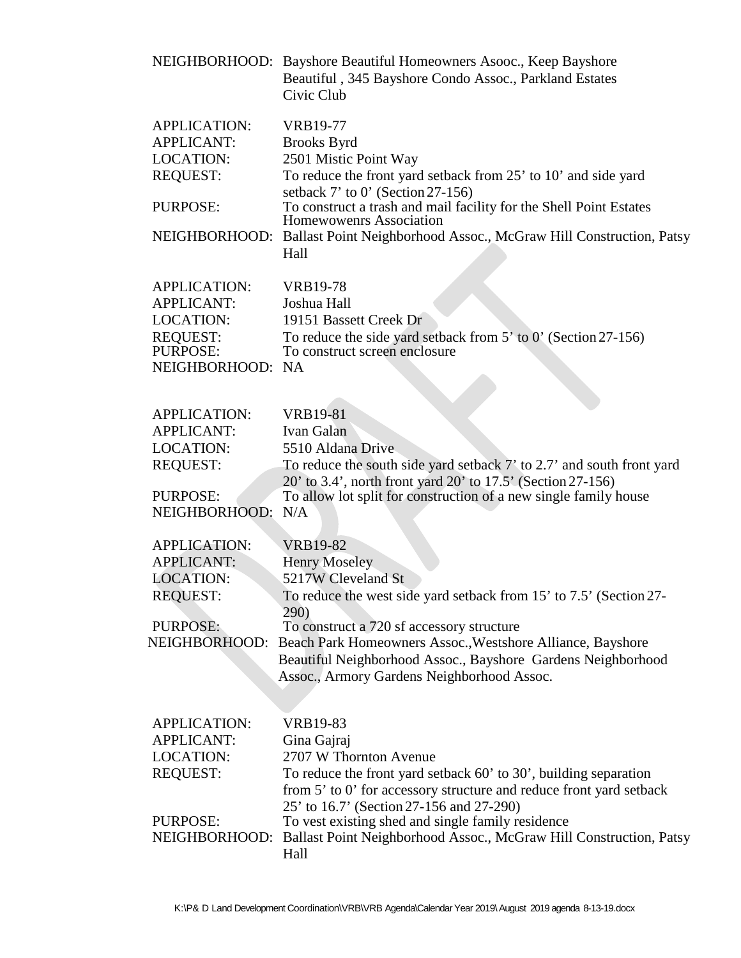|                                                                                 | NEIGHBORHOOD: Bayshore Beautiful Homeowners Asooc., Keep Bayshore<br>Beautiful, 345 Bayshore Condo Assoc., Parkland Estates<br>Civic Club |
|---------------------------------------------------------------------------------|-------------------------------------------------------------------------------------------------------------------------------------------|
| <b>APPLICATION:</b><br><b>APPLICANT:</b><br><b>LOCATION:</b><br><b>REQUEST:</b> | <b>VRB19-77</b><br><b>Brooks Byrd</b><br>2501 Mistic Point Way<br>To reduce the front yard setback from 25' to 10' and side yard          |
| PURPOSE:                                                                        | setback $7'$ to $0'$ (Section 27-156)<br>To construct a trash and mail facility for the Shell Point Estates                               |
|                                                                                 | <b>Homewowenrs Association</b>                                                                                                            |
| NEIGHBORHOOD:                                                                   | Ballast Point Neighborhood Assoc., McGraw Hill Construction, Patsy<br>Hall                                                                |
| <b>APPLICATION:</b>                                                             | <b>VRB19-78</b>                                                                                                                           |
| <b>APPLICANT:</b>                                                               | Joshua Hall                                                                                                                               |
| <b>LOCATION:</b>                                                                | 19151 Bassett Creek Dr                                                                                                                    |
| <b>REQUEST:</b>                                                                 | To reduce the side yard setback from 5' to 0' (Section 27-156)                                                                            |
| <b>PURPOSE:</b>                                                                 | To construct screen enclosure                                                                                                             |
| NEIGHBORHOOD: NA                                                                |                                                                                                                                           |
|                                                                                 |                                                                                                                                           |
| <b>APPLICATION:</b>                                                             | <b>VRB19-81</b>                                                                                                                           |
| <b>APPLICANT:</b>                                                               | Ivan Galan<br>5510 Aldana Drive                                                                                                           |
| <b>LOCATION:</b>                                                                |                                                                                                                                           |
| <b>REQUEST:</b>                                                                 | To reduce the south side yard setback 7' to 2.7' and south front yard<br>20' to 3.4', north front yard 20' to 17.5' (Section 27-156)      |
| PURPOSE:                                                                        | To allow lot split for construction of a new single family house                                                                          |
| NEIGHBORHOOD:                                                                   | N/A                                                                                                                                       |
| <b>APPLICATION:</b>                                                             | <b>VRB19-82</b>                                                                                                                           |
| <b>APPLICANT:</b>                                                               | <b>Henry Moseley</b>                                                                                                                      |
| <b>LOCATION:</b>                                                                | 5217W Cleveland St                                                                                                                        |
| <b>REQUEST:</b>                                                                 | To reduce the west side yard setback from 15' to 7.5' (Section 27-                                                                        |
|                                                                                 | 290)                                                                                                                                      |
| PURPOSE:                                                                        | To construct a 720 sf accessory structure                                                                                                 |
| NEIGHBORHOOD:                                                                   | Beach Park Homeowners Assoc., Westshore Alliance, Bayshore<br>Beautiful Neighborhood Assoc., Bayshore Gardens Neighborhood                |
|                                                                                 | Assoc., Armory Gardens Neighborhood Assoc.                                                                                                |
|                                                                                 |                                                                                                                                           |
| <b>APPLICATION:</b>                                                             | <b>VRB19-83</b>                                                                                                                           |
| <b>APPLICANT:</b>                                                               | Gina Gajraj                                                                                                                               |
| <b>LOCATION:</b>                                                                | 2707 W Thornton Avenue                                                                                                                    |
| <b>REQUEST:</b>                                                                 | To reduce the front yard setback 60' to 30', building separation<br>from 5' to 0' for accessory structure and reduce front yard setback   |
|                                                                                 | 25' to 16.7' (Section 27-156 and 27-290)                                                                                                  |
| PURPOSE:<br>NEIGHBORHOOD:                                                       | To vest existing shed and single family residence<br>Ballast Point Neighborhood Assoc., McGraw Hill Construction, Patsy                   |
|                                                                                 | Hall                                                                                                                                      |